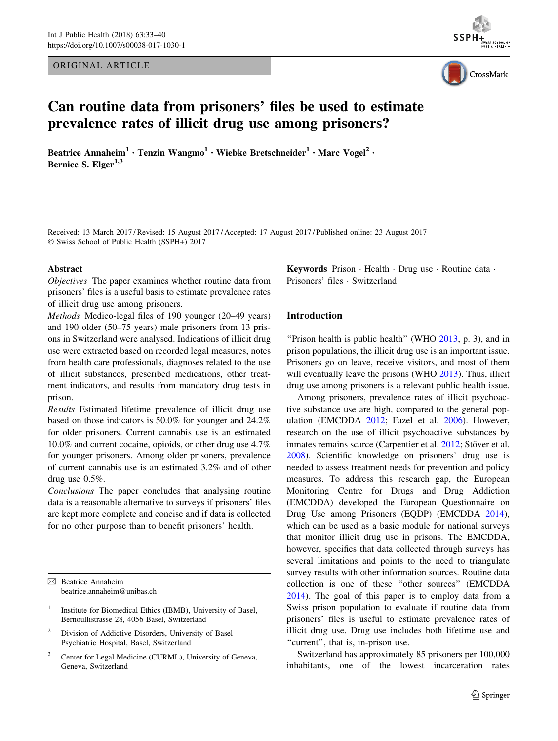# ORIGINAL ARTICLE





# Can routine data from prisoners' files be used to estimate prevalence rates of illicit drug use among prisoners?

Beatrice Annaheim<sup>1</sup> · Tenzin Wangmo<sup>1</sup> · Wiebke Bretschneider<sup>1</sup> · Marc Vogel<sup>2</sup> · Bernice S. Elger<sup>1,3</sup>

Received: 13 March 2017 / Revised: 15 August 2017 / Accepted: 17 August 2017 / Published online: 23 August 2017 © Swiss School of Public Health (SSPH+) 2017

#### Abstract

Objectives The paper examines whether routine data from prisoners' files is a useful basis to estimate prevalence rates of illicit drug use among prisoners.

Methods Medico-legal files of 190 younger (20–49 years) and 190 older (50–75 years) male prisoners from 13 prisons in Switzerland were analysed. Indications of illicit drug use were extracted based on recorded legal measures, notes from health care professionals, diagnoses related to the use of illicit substances, prescribed medications, other treatment indicators, and results from mandatory drug tests in prison.

Results Estimated lifetime prevalence of illicit drug use based on those indicators is 50.0% for younger and 24.2% for older prisoners. Current cannabis use is an estimated 10.0% and current cocaine, opioids, or other drug use 4.7% for younger prisoners. Among older prisoners, prevalence of current cannabis use is an estimated 3.2% and of other drug use 0.5%.

Conclusions The paper concludes that analysing routine data is a reasonable alternative to surveys if prisoners' files are kept more complete and concise and if data is collected for no other purpose than to benefit prisoners' health.

- <sup>2</sup> Division of Addictive Disorders, University of Basel Psychiatric Hospital, Basel, Switzerland
- Center for Legal Medicine (CURML), University of Geneva, Geneva, Switzerland

Keywords Prison · Health · Drug use · Routine data · Prisoners' files - Switzerland

#### Introduction

"Prison health is public health" (WHO [2013,](#page-7-0) p. 3), and in prison populations, the illicit drug use is an important issue. Prisoners go on leave, receive visitors, and most of them will eventually leave the prisons (WHO [2013](#page-7-0)). Thus, illicit drug use among prisoners is a relevant public health issue.

Among prisoners, prevalence rates of illicit psychoactive substance use are high, compared to the general population (EMCDDA [2012](#page-7-0); Fazel et al. [2006](#page-7-0)). However, research on the use of illicit psychoactive substances by inmates remains scarce (Carpentier et al. [2012](#page-7-0); Stöver et al. [2008](#page-7-0)). Scientific knowledge on prisoners' drug use is needed to assess treatment needs for prevention and policy measures. To address this research gap, the European Monitoring Centre for Drugs and Drug Addiction (EMCDDA) developed the European Questionnaire on Drug Use among Prisoners (EQDP) (EMCDDA [2014](#page-7-0)), which can be used as a basic module for national surveys that monitor illicit drug use in prisons. The EMCDDA, however, specifies that data collected through surveys has several limitations and points to the need to triangulate survey results with other information sources. Routine data collection is one of these ''other sources'' (EMCDDA [2014](#page-7-0)). The goal of this paper is to employ data from a Swiss prison population to evaluate if routine data from prisoners' files is useful to estimate prevalence rates of illicit drug use. Drug use includes both lifetime use and "current", that is, in-prison use.

Switzerland has approximately 85 prisoners per 100,000 inhabitants, one of the lowest incarceration rates

 $\boxtimes$  Beatrice Annaheim beatrice.annaheim@unibas.ch

<sup>1</sup> Institute for Biomedical Ethics (IBMB), University of Basel, Bernoullistrasse 28, 4056 Basel, Switzerland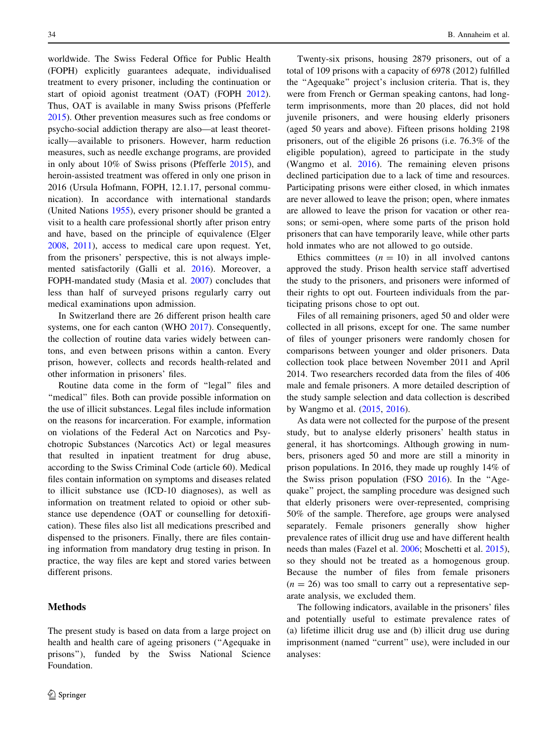worldwide. The Swiss Federal Office for Public Health (FOPH) explicitly guarantees adequate, individualised treatment to every prisoner, including the continuation or start of opioid agonist treatment (OAT) (FOPH [2012](#page-7-0)). Thus, OAT is available in many Swiss prisons (Pfefferle [2015\)](#page-7-0). Other prevention measures such as free condoms or psycho-social addiction therapy are also—at least theoretically—available to prisoners. However, harm reduction measures, such as needle exchange programs, are provided in only about 10% of Swiss prisons (Pfefferle [2015](#page-7-0)), and heroin-assisted treatment was offered in only one prison in 2016 (Ursula Hofmann, FOPH, 12.1.17, personal communication). In accordance with international standards (United Nations [1955\)](#page-7-0), every prisoner should be granted a visit to a health care professional shortly after prison entry and have, based on the principle of equivalence (Elger [2008,](#page-7-0) [2011](#page-7-0)), access to medical care upon request. Yet, from the prisoners' perspective, this is not always implemented satisfactorily (Galli et al. [2016](#page-7-0)). Moreover, a FOPH-mandated study (Masia et al. [2007](#page-7-0)) concludes that less than half of surveyed prisons regularly carry out medical examinations upon admission.

In Switzerland there are 26 different prison health care systems, one for each canton (WHO [2017\)](#page-7-0). Consequently, the collection of routine data varies widely between cantons, and even between prisons within a canton. Every prison, however, collects and records health-related and other information in prisoners' files.

Routine data come in the form of ''legal'' files and "medical" files. Both can provide possible information on the use of illicit substances. Legal files include information on the reasons for incarceration. For example, information on violations of the Federal Act on Narcotics and Psychotropic Substances (Narcotics Act) or legal measures that resulted in inpatient treatment for drug abuse, according to the Swiss Criminal Code (article 60). Medical files contain information on symptoms and diseases related to illicit substance use (ICD-10 diagnoses), as well as information on treatment related to opioid or other substance use dependence (OAT or counselling for detoxification). These files also list all medications prescribed and dispensed to the prisoners. Finally, there are files containing information from mandatory drug testing in prison. In practice, the way files are kept and stored varies between different prisons.

## Methods

The present study is based on data from a large project on health and health care of ageing prisoners (''Agequake in prisons''), funded by the Swiss National Science Foundation.

Twenty-six prisons, housing 2879 prisoners, out of a total of 109 prisons with a capacity of 6978 (2012) fulfilled the ''Agequake'' project's inclusion criteria. That is, they were from French or German speaking cantons, had longterm imprisonments, more than 20 places, did not hold juvenile prisoners, and were housing elderly prisoners (aged 50 years and above). Fifteen prisons holding 2198 prisoners, out of the eligible 26 prisons (i.e. 76.3% of the eligible population), agreed to participate in the study (Wangmo et al. [2016](#page-7-0)). The remaining eleven prisons declined participation due to a lack of time and resources. Participating prisons were either closed, in which inmates are never allowed to leave the prison; open, where inmates are allowed to leave the prison for vacation or other reasons; or semi-open, where some parts of the prison hold prisoners that can have temporarily leave, while other parts hold inmates who are not allowed to go outside.

Ethics committees  $(n = 10)$  in all involved cantons approved the study. Prison health service staff advertised the study to the prisoners, and prisoners were informed of their rights to opt out. Fourteen individuals from the participating prisons chose to opt out.

Files of all remaining prisoners, aged 50 and older were collected in all prisons, except for one. The same number of files of younger prisoners were randomly chosen for comparisons between younger and older prisoners. Data collection took place between November 2011 and April 2014. Two researchers recorded data from the files of 406 male and female prisoners. A more detailed description of the study sample selection and data collection is described by Wangmo et al. [\(2015](#page-7-0), [2016](#page-7-0)).

As data were not collected for the purpose of the present study, but to analyse elderly prisoners' health status in general, it has shortcomings. Although growing in numbers, prisoners aged 50 and more are still a minority in prison populations. In 2016, they made up roughly 14% of the Swiss prison population (FSO  $2016$ ). In the "Agequake'' project, the sampling procedure was designed such that elderly prisoners were over-represented, comprising 50% of the sample. Therefore, age groups were analysed separately. Female prisoners generally show higher prevalence rates of illicit drug use and have different health needs than males (Fazel et al. [2006;](#page-7-0) Moschetti et al. [2015](#page-7-0)), so they should not be treated as a homogenous group. Because the number of files from female prisoners  $(n = 26)$  was too small to carry out a representative separate analysis, we excluded them.

The following indicators, available in the prisoners' files and potentially useful to estimate prevalence rates of (a) lifetime illicit drug use and (b) illicit drug use during imprisonment (named ''current'' use), were included in our analyses: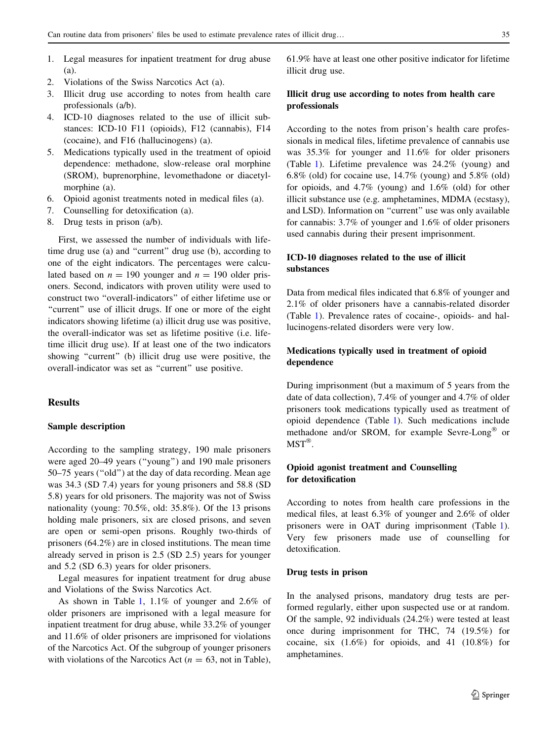- 1. Legal measures for inpatient treatment for drug abuse (a).
- 2. Violations of the Swiss Narcotics Act (a).
- 3. Illicit drug use according to notes from health care professionals (a/b).
- 4. ICD-10 diagnoses related to the use of illicit substances: ICD-10 F11 (opioids), F12 (cannabis), F14 (cocaine), and F16 (hallucinogens) (a).
- 5. Medications typically used in the treatment of opioid dependence: methadone, slow-release oral morphine (SROM), buprenorphine, levomethadone or diacetylmorphine (a).
- 6. Opioid agonist treatments noted in medical files (a).
- 7. Counselling for detoxification (a).
- 8. Drug tests in prison (a/b).

First, we assessed the number of individuals with lifetime drug use (a) and ''current'' drug use (b), according to one of the eight indicators. The percentages were calculated based on  $n = 190$  younger and  $n = 190$  older prisoners. Second, indicators with proven utility were used to construct two ''overall-indicators'' of either lifetime use or "current" use of illicit drugs. If one or more of the eight indicators showing lifetime (a) illicit drug use was positive, the overall-indicator was set as lifetime positive (i.e. lifetime illicit drug use). If at least one of the two indicators showing "current" (b) illicit drug use were positive, the overall-indicator was set as ''current'' use positive.

# **Results**

#### Sample description

According to the sampling strategy, 190 male prisoners were aged 20–49 years (''young'') and 190 male prisoners 50–75 years (''old'') at the day of data recording. Mean age was 34.3 (SD 7.4) years for young prisoners and 58.8 (SD 5.8) years for old prisoners. The majority was not of Swiss nationality (young: 70.5%, old: 35.8%). Of the 13 prisons holding male prisoners, six are closed prisons, and seven are open or semi-open prisons. Roughly two-thirds of prisoners (64.2%) are in closed institutions. The mean time already served in prison is 2.5 (SD 2.5) years for younger and 5.2 (SD 6.3) years for older prisoners.

Legal measures for inpatient treatment for drug abuse and Violations of the Swiss Narcotics Act.

As shown in Table [1,](#page-3-0) 1.1% of younger and 2.6% of older prisoners are imprisoned with a legal measure for inpatient treatment for drug abuse, while 33.2% of younger and 11.6% of older prisoners are imprisoned for violations of the Narcotics Act. Of the subgroup of younger prisoners with violations of the Narcotics Act ( $n = 63$ , not in Table), 61.9% have at least one other positive indicator for lifetime illicit drug use.

# Illicit drug use according to notes from health care professionals

According to the notes from prison's health care professionals in medical files, lifetime prevalence of cannabis use was 35.3% for younger and 11.6% for older prisoners (Table [1\)](#page-3-0). Lifetime prevalence was 24.2% (young) and  $6.8\%$  (old) for cocaine use,  $14.7\%$  (young) and  $5.8\%$  (old) for opioids, and 4.7% (young) and 1.6% (old) for other illicit substance use (e.g. amphetamines, MDMA (ecstasy), and LSD). Information on ''current'' use was only available for cannabis: 3.7% of younger and 1.6% of older prisoners used cannabis during their present imprisonment.

# ICD-10 diagnoses related to the use of illicit substances

Data from medical files indicated that 6.8% of younger and 2.1% of older prisoners have a cannabis-related disorder (Table [1\)](#page-3-0). Prevalence rates of cocaine-, opioids- and hallucinogens-related disorders were very low.

# Medications typically used in treatment of opioid dependence

During imprisonment (but a maximum of 5 years from the date of data collection), 7.4% of younger and 4.7% of older prisoners took medications typically used as treatment of opioid dependence (Table [1](#page-3-0)). Such medications include methadone and/or SROM, for example Sevre-Long<sup>®</sup> or  $MST^{\circledR}$ .

## Opioid agonist treatment and Counselling for detoxification

According to notes from health care professions in the medical files, at least 6.3% of younger and 2.6% of older prisoners were in OAT during imprisonment (Table [1](#page-3-0)). Very few prisoners made use of counselling for detoxification.

## Drug tests in prison

In the analysed prisons, mandatory drug tests are performed regularly, either upon suspected use or at random. Of the sample, 92 individuals (24.2%) were tested at least once during imprisonment for THC, 74 (19.5%) for cocaine, six (1.6%) for opioids, and 41 (10.8%) for amphetamines.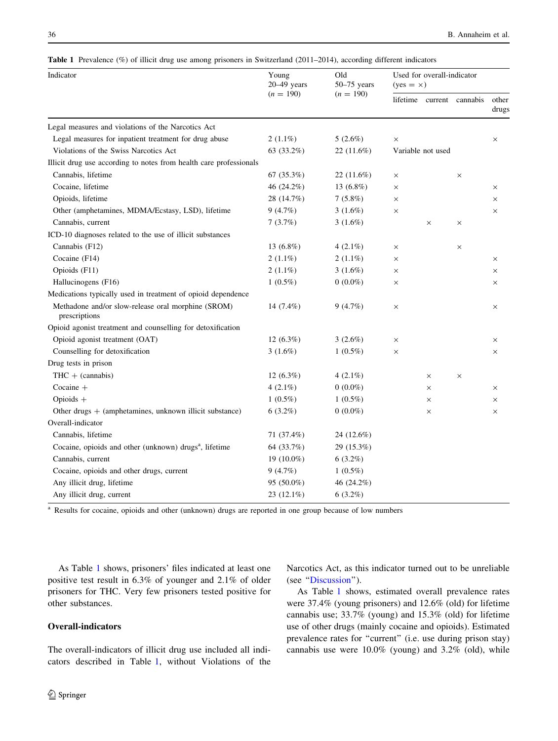<span id="page-3-0"></span>Table 1 Prevalence (%) of illicit drug use among prisoners in Switzerland (2011–2014), according different indicators

| Indicator                                                           | Young<br>$20-49$ years<br>$(n = 190)$ | Old<br>$50-75$ years<br>$(n = 190)$ | Used for overall-indicator<br>$(yes = x)$ |          |                           |                |
|---------------------------------------------------------------------|---------------------------------------|-------------------------------------|-------------------------------------------|----------|---------------------------|----------------|
|                                                                     |                                       |                                     |                                           |          | lifetime current cannabis | other<br>drugs |
| Legal measures and violations of the Narcotics Act                  |                                       |                                     |                                           |          |                           |                |
| Legal measures for inpatient treatment for drug abuse               | $2(1.1\%)$                            | $5(2.6\%)$                          | $\times$                                  |          |                           | $\times$       |
| Violations of the Swiss Narcotics Act                               | 63 (33.2%)                            | $22(11.6\%)$                        | Variable not used                         |          |                           |                |
| Illicit drug use according to notes from health care professionals  |                                       |                                     |                                           |          |                           |                |
| Cannabis, lifetime                                                  | 67 $(35.3%)$                          | $22(11.6\%)$                        | $\times$                                  |          | $\times$                  |                |
| Cocaine, lifetime                                                   | 46 (24.2%)                            | 13 $(6.8\%)$                        | $\times$                                  |          |                           | $\times$       |
| Opioids, lifetime                                                   | 28 (14.7%)                            | 7(5.8%)                             | $\times$                                  |          |                           | $\times$       |
| Other (amphetamines, MDMA/Ecstasy, LSD), lifetime                   | 9(4.7%)                               | $3(1.6\%)$                          | $\times$                                  |          |                           | X              |
| Cannabis, current                                                   | 7(3.7%)                               | $3(1.6\%)$                          |                                           | $\times$ | $\times$                  |                |
| ICD-10 diagnoses related to the use of illicit substances           |                                       |                                     |                                           |          |                           |                |
| Cannabis (F12)                                                      | 13 $(6.8\%)$                          | $4(2.1\%)$                          | $\times$                                  |          | $\times$                  |                |
| Cocaine (F14)                                                       | $2(1.1\%)$                            | $2(1.1\%)$                          | $\times$                                  |          |                           | $\times$       |
| Opioids (F11)                                                       | $2(1.1\%)$                            | $3(1.6\%)$                          | X                                         |          |                           | X              |
| Hallucinogens (F16)                                                 | $1(0.5\%)$                            | $0(0.0\%)$                          | X                                         |          |                           | X              |
| Medications typically used in treatment of opioid dependence        |                                       |                                     |                                           |          |                           |                |
| Methadone and/or slow-release oral morphine (SROM)<br>prescriptions | 14 (7.4%)                             | 9(4.7%)                             | $\times$                                  |          |                           | $\times$       |
| Opioid agonist treatment and counselling for detoxification         |                                       |                                     |                                           |          |                           |                |
| Opioid agonist treatment (OAT)                                      | 12 $(6.3\%)$                          | $3(2.6\%)$                          | $\times$                                  |          |                           | $\times$       |
| Counselling for detoxification                                      | $3(1.6\%)$                            | $1(0.5\%)$                          | $\times$                                  |          |                           | $\times$       |
| Drug tests in prison                                                |                                       |                                     |                                           |          |                           |                |
| $THC + (cannabis)$                                                  | 12 $(6.3\%)$                          | $4(2.1\%)$                          |                                           | $\times$ | $\times$                  |                |
| $Cocaine +$                                                         | $4(2.1\%)$                            | $0(0.0\%)$                          |                                           | $\times$ |                           | $\times$       |
| Opioids $+$                                                         | $1(0.5\%)$                            | $1(0.5\%)$                          |                                           | $\times$ |                           | $\times$       |
| Other drugs $+$ (amphetamines, unknown illicit substance)           | $6(3.2\%)$                            | $0(0.0\%)$                          |                                           | $\times$ |                           | $\times$       |
| Overall-indicator                                                   |                                       |                                     |                                           |          |                           |                |
| Cannabis, lifetime                                                  | 71 (37.4%)                            | 24 (12.6%)                          |                                           |          |                           |                |
| Cocaine, opioids and other (unknown) drugs <sup>a</sup> , lifetime  | 64 (33.7%)                            | 29 (15.3%)                          |                                           |          |                           |                |
| Cannabis, current                                                   | 19 (10.0%)                            | $6(3.2\%)$                          |                                           |          |                           |                |
| Cocaine, opioids and other drugs, current                           | 9(4.7%)                               | $1(0.5\%)$                          |                                           |          |                           |                |
| Any illicit drug, lifetime                                          | 95 (50.0%)                            | 46 (24.2%)                          |                                           |          |                           |                |
| Any illicit drug, current                                           | 23 (12.1%)                            | $6(3.2\%)$                          |                                           |          |                           |                |

<sup>a</sup> Results for cocaine, opioids and other (unknown) drugs are reported in one group because of low numbers

As Table 1 shows, prisoners' files indicated at least one positive test result in 6.3% of younger and 2.1% of older prisoners for THC. Very few prisoners tested positive for other substances.

# Overall-indicators

The overall-indicators of illicit drug use included all indicators described in Table 1, without Violations of the Narcotics Act, as this indicator turned out to be unreliable (see '['Discussion'](#page-4-0)').

As Table 1 shows, estimated overall prevalence rates were 37.4% (young prisoners) and 12.6% (old) for lifetime cannabis use; 33.7% (young) and 15.3% (old) for lifetime use of other drugs (mainly cocaine and opioids). Estimated prevalence rates for "current" (i.e. use during prison stay) cannabis use were 10.0% (young) and 3.2% (old), while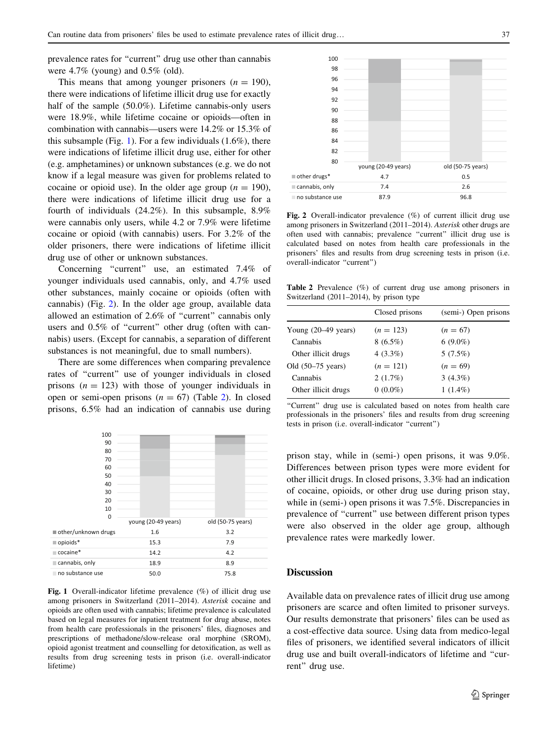<span id="page-4-0"></span>prevalence rates for ''current'' drug use other than cannabis were  $4.7\%$  (young) and  $0.5\%$  (old).

This means that among younger prisoners  $(n = 190)$ , there were indications of lifetime illicit drug use for exactly half of the sample (50.0%). Lifetime cannabis-only users were 18.9%, while lifetime cocaine or opioids—often in combination with cannabis—users were 14.2% or 15.3% of this subsample (Fig. 1). For a few individuals  $(1.6\%)$ , there were indications of lifetime illicit drug use, either for other (e.g. amphetamines) or unknown substances (e.g. we do not know if a legal measure was given for problems related to cocaine or opioid use). In the older age group ( $n = 190$ ), there were indications of lifetime illicit drug use for a fourth of individuals (24.2%). In this subsample, 8.9% were cannabis only users, while 4.2 or 7.9% were lifetime cocaine or opioid (with cannabis) users. For 3.2% of the older prisoners, there were indications of lifetime illicit drug use of other or unknown substances.

Concerning "current" use, an estimated 7.4% of younger individuals used cannabis, only, and 4.7% used other substances, mainly cocaine or opioids (often with cannabis) (Fig. 2). In the older age group, available data allowed an estimation of 2.6% of ''current'' cannabis only users and 0.5% of "current" other drug (often with cannabis) users. (Except for cannabis, a separation of different substances is not meaningful, due to small numbers).

There are some differences when comparing prevalence rates of ''current'' use of younger individuals in closed prisons  $(n = 123)$  with those of younger individuals in open or semi-open prisons ( $n = 67$ ) (Table 2). In closed prisons, 6.5% had an indication of cannabis use during



Fig. 1 Overall-indicator lifetime prevalence (%) of illicit drug use among prisoners in Switzerland (2011–2014). Asterisk cocaine and opioids are often used with cannabis; lifetime prevalence is calculated based on legal measures for inpatient treatment for drug abuse, notes from health care professionals in the prisoners' files, diagnoses and prescriptions of methadone/slow-release oral morphine (SROM), opioid agonist treatment and counselling for detoxification, as well as results from drug screening tests in prison (i.e. overall-indicator lifetime)



Fig. 2 Overall-indicator prevalence (%) of current illicit drug use among prisoners in Switzerland (2011–2014). Asterisk other drugs are often used with cannabis; prevalence "current" illicit drug use is calculated based on notes from health care professionals in the prisoners' files and results from drug screening tests in prison (i.e. overall-indicator ''current'')

Table 2 Prevalence (%) of current drug use among prisoners in Switzerland (2011–2014), by prison type

|                               | Closed prisons | (semi-) Open prisons |
|-------------------------------|----------------|----------------------|
| Young $(20-49 \text{ years})$ | $(n = 123)$    | $(n = 67)$           |
| Cannabis                      | $8(6.5\%)$     | $6(9.0\%)$           |
| Other illicit drugs           | $4(3.3\%)$     | $5(7.5\%)$           |
| Old $(50-75 \text{ years})$   | $(n = 121)$    | $(n = 69)$           |
| Cannabis                      | 2(1.7%)        | $3(4.3\%)$           |
| Other illicit drugs           | $0(0.0\%)$     | $1(1.4\%)$           |
|                               |                |                      |

''Current'' drug use is calculated based on notes from health care professionals in the prisoners' files and results from drug screening tests in prison (i.e. overall-indicator ''current'')

prison stay, while in (semi-) open prisons, it was 9.0%. Differences between prison types were more evident for other illicit drugs. In closed prisons, 3.3% had an indication of cocaine, opioids, or other drug use during prison stay, while in (semi-) open prisons it was 7.5%. Discrepancies in prevalence of ''current'' use between different prison types were also observed in the older age group, although prevalence rates were markedly lower.

## Discussion

Available data on prevalence rates of illicit drug use among prisoners are scarce and often limited to prisoner surveys. Our results demonstrate that prisoners' files can be used as a cost-effective data source. Using data from medico-legal files of prisoners, we identified several indicators of illicit drug use and built overall-indicators of lifetime and ''current'' drug use.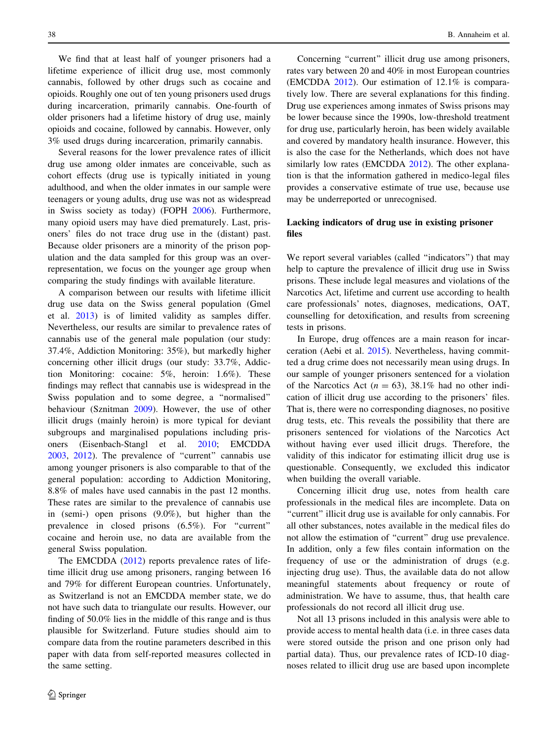We find that at least half of younger prisoners had a lifetime experience of illicit drug use, most commonly cannabis, followed by other drugs such as cocaine and opioids. Roughly one out of ten young prisoners used drugs during incarceration, primarily cannabis. One-fourth of older prisoners had a lifetime history of drug use, mainly opioids and cocaine, followed by cannabis. However, only 3% used drugs during incarceration, primarily cannabis.

Several reasons for the lower prevalence rates of illicit drug use among older inmates are conceivable, such as cohort effects (drug use is typically initiated in young adulthood, and when the older inmates in our sample were teenagers or young adults, drug use was not as widespread in Swiss society as today) (FOPH [2006](#page-7-0)). Furthermore, many opioid users may have died prematurely. Last, prisoners' files do not trace drug use in the (distant) past. Because older prisoners are a minority of the prison population and the data sampled for this group was an overrepresentation, we focus on the younger age group when comparing the study findings with available literature.

A comparison between our results with lifetime illicit drug use data on the Swiss general population (Gmel et al. [2013](#page-7-0)) is of limited validity as samples differ. Nevertheless, our results are similar to prevalence rates of cannabis use of the general male population (our study: 37.4%, Addiction Monitoring: 35%), but markedly higher concerning other illicit drugs (our study: 33.7%, Addiction Monitoring: cocaine: 5%, heroin: 1.6%). These findings may reflect that cannabis use is widespread in the Swiss population and to some degree, a ''normalised'' behaviour (Sznitman [2009\)](#page-7-0). However, the use of other illicit drugs (mainly heroin) is more typical for deviant subgroups and marginalised populations including prisoners (Eisenbach-Stangl et al. [2010](#page-7-0); EMCDDA [2003,](#page-7-0) [2012](#page-7-0)). The prevalence of ''current'' cannabis use among younger prisoners is also comparable to that of the general population: according to Addiction Monitoring, 8.8% of males have used cannabis in the past 12 months. These rates are similar to the prevalence of cannabis use in (semi-) open prisons (9.0%), but higher than the prevalence in closed prisons (6.5%). For ''current'' cocaine and heroin use, no data are available from the general Swiss population.

The EMCDDA ([2012\)](#page-7-0) reports prevalence rates of lifetime illicit drug use among prisoners, ranging between 16 and 79% for different European countries. Unfortunately, as Switzerland is not an EMCDDA member state, we do not have such data to triangulate our results. However, our finding of 50.0% lies in the middle of this range and is thus plausible for Switzerland. Future studies should aim to compare data from the routine parameters described in this paper with data from self-reported measures collected in the same setting.

Concerning ''current'' illicit drug use among prisoners, rates vary between 20 and 40% in most European countries (EMCDDA [2012\)](#page-7-0). Our estimation of 12.1% is comparatively low. There are several explanations for this finding. Drug use experiences among inmates of Swiss prisons may be lower because since the 1990s, low-threshold treatment for drug use, particularly heroin, has been widely available and covered by mandatory health insurance. However, this is also the case for the Netherlands, which does not have similarly low rates (EMCDDA [2012\)](#page-7-0). The other explanation is that the information gathered in medico-legal files provides a conservative estimate of true use, because use may be underreported or unrecognised.

# Lacking indicators of drug use in existing prisoner files

We report several variables (called "indicators") that may help to capture the prevalence of illicit drug use in Swiss prisons. These include legal measures and violations of the Narcotics Act, lifetime and current use according to health care professionals' notes, diagnoses, medications, OAT, counselling for detoxification, and results from screening tests in prisons.

In Europe, drug offences are a main reason for incarceration (Aebi et al. [2015](#page-7-0)). Nevertheless, having committed a drug crime does not necessarily mean using drugs. In our sample of younger prisoners sentenced for a violation of the Narcotics Act ( $n = 63$ ), 38.1% had no other indication of illicit drug use according to the prisoners' files. That is, there were no corresponding diagnoses, no positive drug tests, etc. This reveals the possibility that there are prisoners sentenced for violations of the Narcotics Act without having ever used illicit drugs. Therefore, the validity of this indicator for estimating illicit drug use is questionable. Consequently, we excluded this indicator when building the overall variable.

Concerning illicit drug use, notes from health care professionals in the medical files are incomplete. Data on ''current'' illicit drug use is available for only cannabis. For all other substances, notes available in the medical files do not allow the estimation of ''current'' drug use prevalence. In addition, only a few files contain information on the frequency of use or the administration of drugs (e.g. injecting drug use). Thus, the available data do not allow meaningful statements about frequency or route of administration. We have to assume, thus, that health care professionals do not record all illicit drug use.

Not all 13 prisons included in this analysis were able to provide access to mental health data (i.e. in three cases data were stored outside the prison and one prison only had partial data). Thus, our prevalence rates of ICD-10 diagnoses related to illicit drug use are based upon incomplete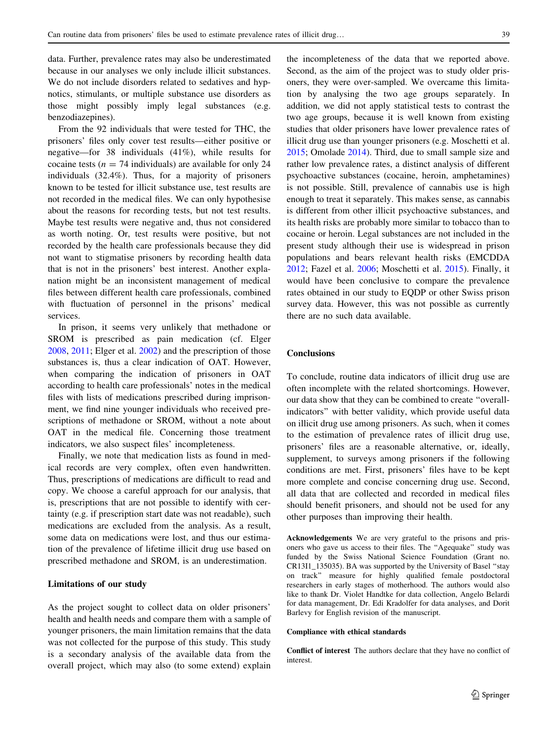data. Further, prevalence rates may also be underestimated because in our analyses we only include illicit substances. We do not include disorders related to sedatives and hypnotics, stimulants, or multiple substance use disorders as those might possibly imply legal substances (e.g. benzodiazepines).

From the 92 individuals that were tested for THC, the prisoners' files only cover test results—either positive or negative—for 38 individuals (41%), while results for cocaine tests ( $n = 74$  individuals) are available for only 24 individuals (32.4%). Thus, for a majority of prisoners known to be tested for illicit substance use, test results are not recorded in the medical files. We can only hypothesise about the reasons for recording tests, but not test results. Maybe test results were negative and, thus not considered as worth noting. Or, test results were positive, but not recorded by the health care professionals because they did not want to stigmatise prisoners by recording health data that is not in the prisoners' best interest. Another explanation might be an inconsistent management of medical files between different health care professionals, combined with fluctuation of personnel in the prisons' medical services.

In prison, it seems very unlikely that methadone or SROM is prescribed as pain medication (cf. Elger [2008,](#page-7-0) [2011](#page-7-0); Elger et al. [2002](#page-7-0)) and the prescription of those substances is, thus a clear indication of OAT. However, when comparing the indication of prisoners in OAT according to health care professionals' notes in the medical files with lists of medications prescribed during imprisonment, we find nine younger individuals who received prescriptions of methadone or SROM, without a note about OAT in the medical file. Concerning those treatment indicators, we also suspect files' incompleteness.

Finally, we note that medication lists as found in medical records are very complex, often even handwritten. Thus, prescriptions of medications are difficult to read and copy. We choose a careful approach for our analysis, that is, prescriptions that are not possible to identify with certainty (e.g. if prescription start date was not readable), such medications are excluded from the analysis. As a result, some data on medications were lost, and thus our estimation of the prevalence of lifetime illicit drug use based on prescribed methadone and SROM, is an underestimation.

#### Limitations of our study

As the project sought to collect data on older prisoners' health and health needs and compare them with a sample of younger prisoners, the main limitation remains that the data was not collected for the purpose of this study. This study is a secondary analysis of the available data from the overall project, which may also (to some extend) explain the incompleteness of the data that we reported above. Second, as the aim of the project was to study older prisoners, they were over-sampled. We overcame this limitation by analysing the two age groups separately. In addition, we did not apply statistical tests to contrast the two age groups, because it is well known from existing studies that older prisoners have lower prevalence rates of illicit drug use than younger prisoners (e.g. Moschetti et al. [2015](#page-7-0); Omolade [2014](#page-7-0)). Third, due to small sample size and rather low prevalence rates, a distinct analysis of different psychoactive substances (cocaine, heroin, amphetamines) is not possible. Still, prevalence of cannabis use is high enough to treat it separately. This makes sense, as cannabis is different from other illicit psychoactive substances, and its health risks are probably more similar to tobacco than to cocaine or heroin. Legal substances are not included in the present study although their use is widespread in prison populations and bears relevant health risks (EMCDDA [2012](#page-7-0); Fazel et al. [2006](#page-7-0); Moschetti et al. [2015](#page-7-0)). Finally, it would have been conclusive to compare the prevalence rates obtained in our study to EQDP or other Swiss prison survey data. However, this was not possible as currently there are no such data available.

## **Conclusions**

To conclude, routine data indicators of illicit drug use are often incomplete with the related shortcomings. However, our data show that they can be combined to create ''overallindicators'' with better validity, which provide useful data on illicit drug use among prisoners. As such, when it comes to the estimation of prevalence rates of illicit drug use, prisoners' files are a reasonable alternative, or, ideally, supplement, to surveys among prisoners if the following conditions are met. First, prisoners' files have to be kept more complete and concise concerning drug use. Second, all data that are collected and recorded in medical files should benefit prisoners, and should not be used for any other purposes than improving their health.

Acknowledgements We are very grateful to the prisons and prisoners who gave us access to their files. The ''Agequake'' study was funded by the Swiss National Science Foundation (Grant no. CR13I1\_135035). BA was supported by the University of Basel ''stay on track'' measure for highly qualified female postdoctoral researchers in early stages of motherhood. The authors would also like to thank Dr. Violet Handtke for data collection, Angelo Belardi for data management, Dr. Edi Kradolfer for data analyses, and Dorit Barlevy for English revision of the manuscript.

#### Compliance with ethical standards

Conflict of interest The authors declare that they have no conflict of interest.